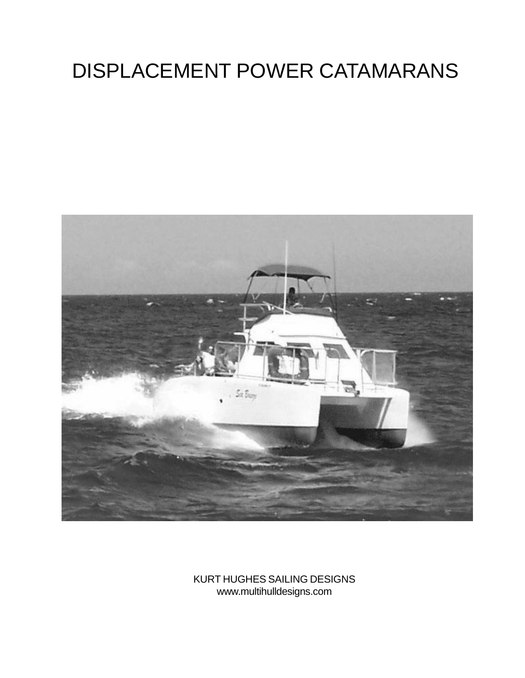# DISPLACEMENT POWER CATAMARANS



KURT HUGHES SAILING DESIGNS www.multihulldesigns.com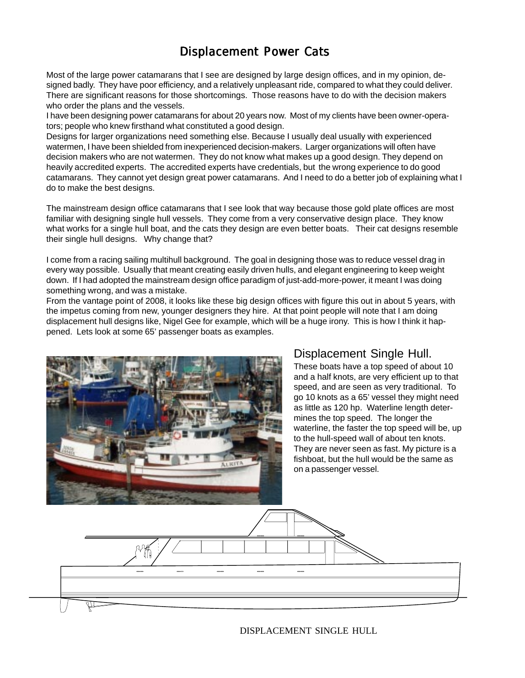# Displacement Power Cats

Most of the large power catamarans that I see are designed by large design offices, and in my opinion, designed badly. They have poor efficiency, and a relatively unpleasant ride, compared to what they could deliver. There are significant reasons for those shortcomings. Those reasons have to do with the decision makers who order the plans and the vessels.

I have been designing power catamarans for about 20 years now. Most of my clients have been owner-operators; people who knew firsthand what constituted a good design.

Designs for larger organizations need something else. Because I usually deal usually with experienced watermen, I have been shielded from inexperienced decision-makers. Larger organizations will often have decision makers who are not watermen. They do not know what makes up a good design. They depend on heavily accredited experts. The accredited experts have credentials, but the wrong experience to do good catamarans. They cannot yet design great power catamarans. And I need to do a better job of explaining what I do to make the best designs.

The mainstream design office catamarans that I see look that way because those gold plate offices are most familiar with designing single hull vessels. They come from a very conservative design place. They know what works for a single hull boat, and the cats they design are even better boats. Their cat designs resemble their single hull designs. Why change that?

I come from a racing sailing multihull background. The goal in designing those was to reduce vessel drag in every way possible. Usually that meant creating easily driven hulls, and elegant engineering to keep weight down. If I had adopted the mainstream design office paradigm of just-add-more-power, it meant I was doing something wrong, and was a mistake.

From the vantage point of 2008, it looks like these big design offices with figure this out in about 5 years, with the impetus coming from new, younger designers they hire. At that point people will note that I am doing displacement hull designs like, Nigel Gee for example, which will be a huge irony. This is how I think it happened. Lets look at some 65' passenger boats as examples.



# Displacement Single Hull.

These boats have a top speed of about 10 and a half knots, are very efficient up to that speed, and are seen as very traditional. To go 10 knots as a 65' vessel they might need as little as 120 hp. Waterline length determines the top speed. The longer the waterline, the faster the top speed will be, up to the hull-speed wall of about ten knots. They are never seen as fast. My picture is a fishboat, but the hull would be the same as on a passenger vessel.



DISPLACEMENT SINGLE HULL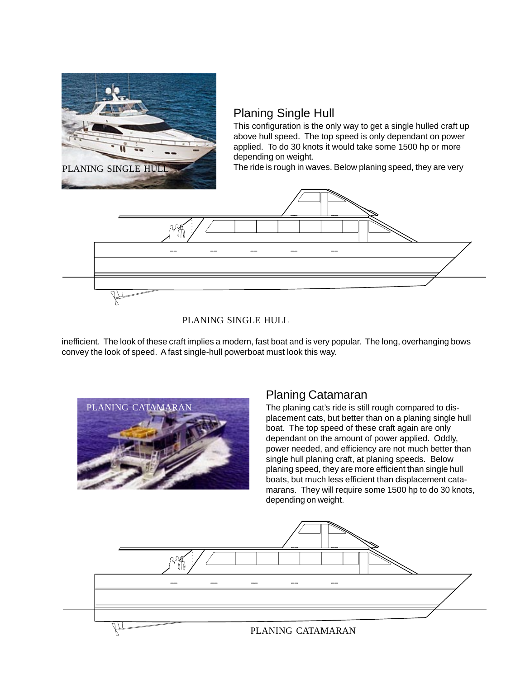

## Planing Single Hull

This configuration is the only way to get a single hulled craft up above hull speed. The top speed is only dependant on power applied. To do 30 knots it would take some 1500 hp or more depending on weight.

The ride is rough in waves. Below planing speed, they are very



#### PLANING SINGLE HULL

inefficient. The look of these craft implies a modern, fast boat and is very popular. The long, overhanging bows convey the look of speed. A fast single-hull powerboat must look this way.



## Planing Catamaran

The planing cat's ride is still rough compared to displacement cats, but better than on a planing single hull boat. The top speed of these craft again are only dependant on the amount of power applied. Oddly, power needed, and efficiency are not much better than single hull planing craft, at planing speeds. Below planing speed, they are more efficient than single hull boats, but much less efficient than displacement catamarans. They will require some 1500 hp to do 30 knots, depending on weight.

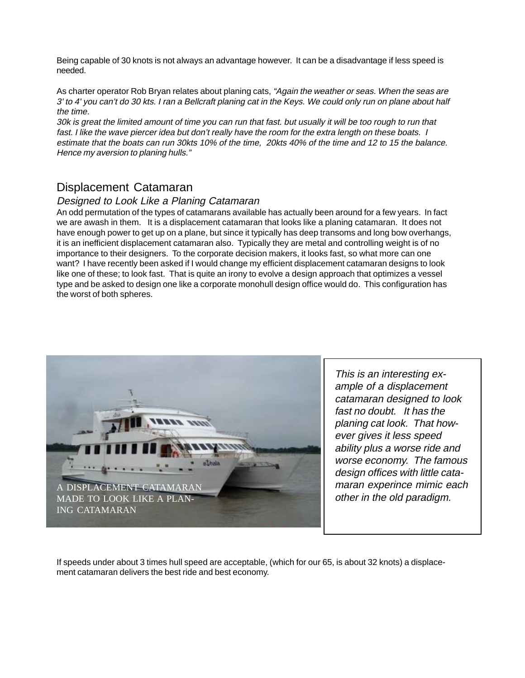Being capable of 30 knots is not always an advantage however. It can be a disadvantage if less speed is needed.

As charter operator Rob Bryan relates about planing cats, "Again the weather or seas. When the seas are 3' to 4' you can't do 30 kts. I ran a Bellcraft planing cat in the Keys. We could only run on plane about half the time.

30k is great the limited amount of time you can run that fast. but usually it will be too rough to run that fast. I like the wave piercer idea but don't really have the room for the extra length on these boats. I estimate that the boats can run 30kts 10% of the time, 20kts 40% of the time and 12 to 15 the balance. Hence my aversion to planing hulls."

## Displacement Catamaran

#### Designed to Look Like a Planing Catamaran

An odd permutation of the types of catamarans available has actually been around for a few years. In fact we are awash in them. It is a displacement catamaran that looks like a planing catamaran. It does not have enough power to get up on a plane, but since it typically has deep transoms and long bow overhangs, it is an inefficient displacement catamaran also. Typically they are metal and controlling weight is of no importance to their designers. To the corporate decision makers, it looks fast, so what more can one want? I have recently been asked if I would change my efficient displacement catamaran designs to look like one of these; to look fast. That is quite an irony to evolve a design approach that optimizes a vessel type and be asked to design one like a corporate monohull design office would do. This configuration has the worst of both spheres.



This is an interesting example of a displacement catamaran designed to look fast no doubt. It has the planing cat look. That however gives it less speed ability plus a worse ride and worse economy. The famous design offices with little catamaran experince mimic each other in the old paradigm.

If speeds under about 3 times hull speed are acceptable, (which for our 65, is about 32 knots) a displacement catamaran delivers the best ride and best economy.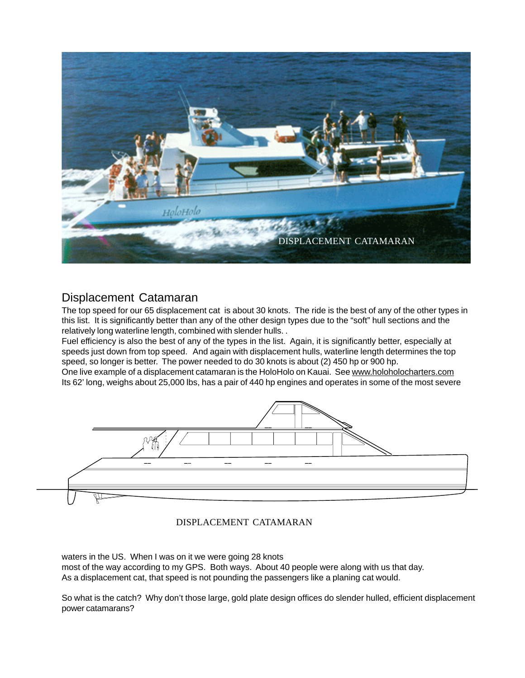

## Displacement Catamaran

The top speed for our 65 displacement cat is about 30 knots. The ride is the best of any of the other types in this list. It is significantly better than any of the other design types due to the "soft" hull sections and the relatively long waterline length, combined with slender hulls. .

Fuel efficiency is also the best of any of the types in the list. Again, it is significantly better, especially at speeds just down from top speed. And again with displacement hulls, waterline length determines the top speed, so longer is better. The power needed to do 30 knots is about (2) 450 hp or 900 hp.

One live example of a displacement catamaran is the HoloHolo on Kauai. See www.holoholocharters.com Its 62' long, weighs about 25,000 lbs, has a pair of 440 hp engines and operates in some of the most severe



#### DISPLACEMENT CATAMARAN

waters in the US. When I was on it we were going 28 knots

most of the way according to my GPS. Both ways. About 40 people were along with us that day. As a displacement cat, that speed is not pounding the passengers like a planing cat would.

So what is the catch? Why don't those large, gold plate design offices do slender hulled, efficient displacement power catamarans?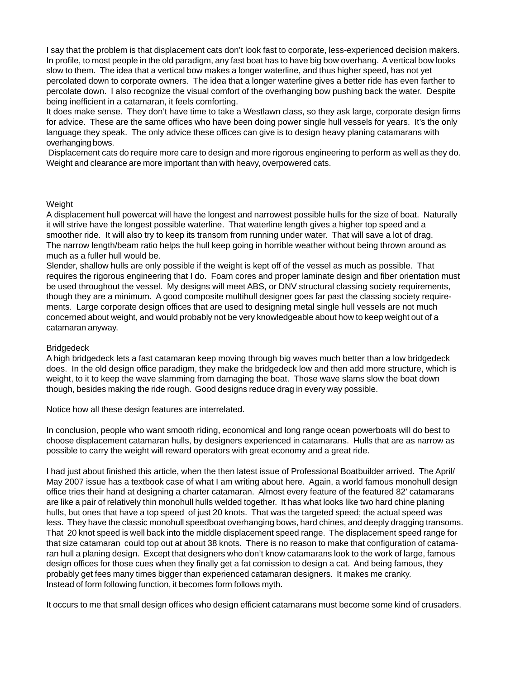I say that the problem is that displacement cats don't look fast to corporate, less-experienced decision makers. In profile, to most people in the old paradigm, any fast boat has to have big bow overhang. A vertical bow looks slow to them. The idea that a vertical bow makes a longer waterline, and thus higher speed, has not yet percolated down to corporate owners. The idea that a longer waterline gives a better ride has even farther to percolate down. I also recognize the visual comfort of the overhanging bow pushing back the water. Despite being inefficient in a catamaran, it feels comforting.

It does make sense. They don't have time to take a Westlawn class, so they ask large, corporate design firms for advice. These are the same offices who have been doing power single hull vessels for years. It's the only language they speak. The only advice these offices can give is to design heavy planing catamarans with overhanging bows.

 Displacement cats do require more care to design and more rigorous engineering to perform as well as they do. Weight and clearance are more important than with heavy, overpowered cats.

#### Weight

A displacement hull powercat will have the longest and narrowest possible hulls for the size of boat. Naturally it will strive have the longest possible waterline. That waterline length gives a higher top speed and a smoother ride. It will also try to keep its transom from running under water. That will save a lot of drag. The narrow length/beam ratio helps the hull keep going in horrible weather without being thrown around as much as a fuller hull would be.

Slender, shallow hulls are only possible if the weight is kept off of the vessel as much as possible. That requires the rigorous engineering that I do. Foam cores and proper laminate design and fiber orientation must be used throughout the vessel. My designs will meet ABS, or DNV structural classing society requirements, though they are a minimum. A good composite multihull designer goes far past the classing society requirements. Large corporate design offices that are used to designing metal single hull vessels are not much concerned about weight, and would probably not be very knowledgeable about how to keep weight out of a catamaran anyway.

#### Bridgedeck

A high bridgedeck lets a fast catamaran keep moving through big waves much better than a low bridgedeck does. In the old design office paradigm, they make the bridgedeck low and then add more structure, which is weight, to it to keep the wave slamming from damaging the boat. Those wave slams slow the boat down though, besides making the ride rough. Good designs reduce drag in every way possible.

Notice how all these design features are interrelated.

In conclusion, people who want smooth riding, economical and long range ocean powerboats will do best to choose displacement catamaran hulls, by designers experienced in catamarans. Hulls that are as narrow as possible to carry the weight will reward operators with great economy and a great ride.

I had just about finished this article, when the then latest issue of Professional Boatbuilder arrived. The April/ May 2007 issue has a textbook case of what I am writing about here. Again, a world famous monohull design office tries their hand at designing a charter catamaran. Almost every feature of the featured 82' catamarans are like a pair of relatively thin monohull hulls welded together. It has what looks like two hard chine planing hulls, but ones that have a top speed of just 20 knots. That was the targeted speed; the actual speed was less. They have the classic monohull speedboat overhanging bows, hard chines, and deeply dragging transoms. That 20 knot speed is well back into the middle displacement speed range. The displacement speed range for that size catamaran could top out at about 38 knots. There is no reason to make that configuration of catamaran hull a planing design. Except that designers who don't know catamarans look to the work of large, famous design offices for those cues when they finally get a fat comission to design a cat. And being famous, they probably get fees many times bigger than experienced catamaran designers. It makes me cranky. Instead of form following function, it becomes form follows myth.

It occurs to me that small design offices who design efficient catamarans must become some kind of crusaders.